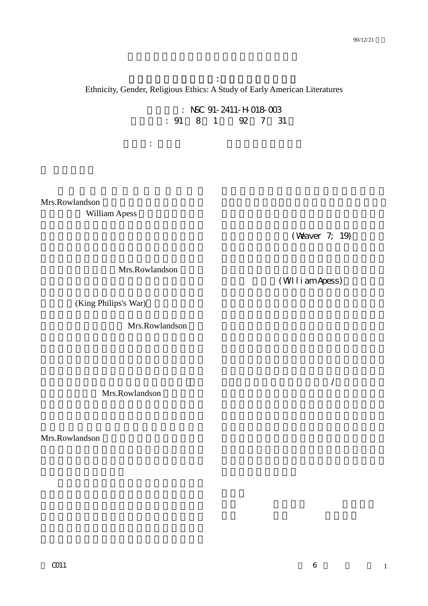族群,性別,宗教倫理:美國早期文學之研究 Ethnicity, Gender, Religious Ethics: A Study of Early American Literatures

主持人: 張月珍 彰化師範大學英語系

: NSC 91-2411-H-018-003 1 92 7 31

Mrs.Rowlandson William Apess

(Weaver 7; 19)

Mrs.Rowlandson

(William Apess)

, where  $\lambda$ 

(King Philips's War)

Mrs.Rowlandson

Mrs.Rowlandson

Mrs.Rowlandson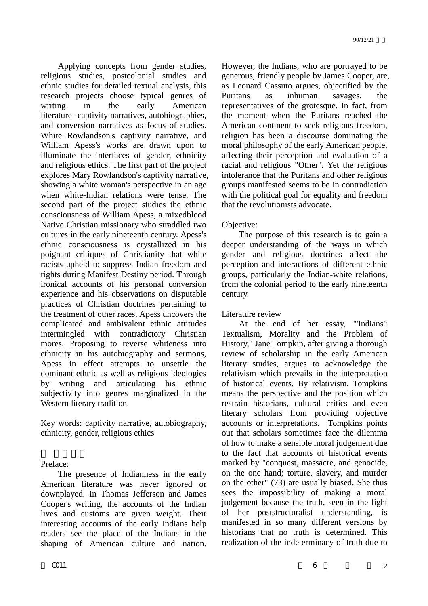Applying concepts from gender studies, religious studies, postcolonial studies and ethnic studies for detailed textual analysis, this research projects choose typical genres of writing in the early American literature--captivity narratives, autobiographies, and conversion narratives as focus of studies. White Rowlandson's captivity narrative, and William Apess's works are drawn upon to illuminate the interfaces of gender, ethnicity and religious ethics. The first part of the project explores Mary Rowlandson's captivity narrative, showing a white woman's perspective in an age when white-Indian relations were tense. The second part of the project studies the ethnic consciousness of William Apess, a mixedblood Native Christian missionary who straddled two cultures in the early nineteenth century. Apess's ethnic consciousness is crystallized in his poignant critiques of Christianity that white racists upheld to suppress Indian freedom and rights during Manifest Destiny period. Through ironical accounts of his personal conversion experience and his observations on disputable practices of Christian doctrines pertaining to the treatment of other races, Apess uncovers the complicated and ambivalent ethnic attitudes intermingled with contradictory Christian mores. Proposing to reverse whiteness into ethnicity in his autobiography and sermons, Apess in effect attempts to unsettle the dominant ethnic as well as religious ideologies by writing and articulating his ethnic subjectivity into genres marginalized in the Western literary tradition.

Key words: captivity narrative, autobiography, ethnicity, gender, religious ethics

Preface:

The presence of Indianness in the early American literature was never ignored or downplayed. In Thomas Jefferson and James Cooper's writing, the accounts of the Indian lives and customs are given weight. Their interesting accounts of the early Indians help readers see the place of the Indians in the shaping of American culture and nation.

However, the Indians, who are portrayed to be generous, friendly people by James Cooper, are, as Leonard Cassuto argues, objectified by the Puritans as inhuman savages, the representatives of the grotesque. In fact, from the moment when the Puritans reached the American continent to seek religious freedom, religion has been a discourse dominating the moral philosophy of the early American people, affecting their perception and evaluation of a racial and religious "Other". Yet the religious intolerance that the Puritans and other religious groups manifested seems to be in contradiction with the political goal for equality and freedom that the revolutionists advocate.

# Objective:

The purpose of this research is to gain a deeper understanding of the ways in which gender and religious doctrines affect the perception and interactions of different ethnic groups, particularly the Indian-white relations, from the colonial period to the early nineteenth century.

Literature review

At the end of her essay, "'Indians': Textualism, Morality and the Problem of History," Jane Tompkin, after giving a thorough review of scholarship in the early American literary studies, argues to acknowledge the relativism which prevails in the interpretation of historical events. By relativism, Tompkins means the perspective and the position which restrain historians, cultural critics and even literary scholars from providing objective accounts or interpretations. Tompkins points out that scholars sometimes face the dilemma of how to make a sensible moral judgement due to the fact that accounts of historical events marked by "conquest, massacre, and genocide, on the one hand; torture, slavery, and murder on the other" (73) are usually biased. She thus sees the impossibility of making a moral judgement because the truth, seen in the light of her poststructuralist understanding, is manifested in so many different versions by historians that no truth is determined. This realization of the indeterminacy of truth due to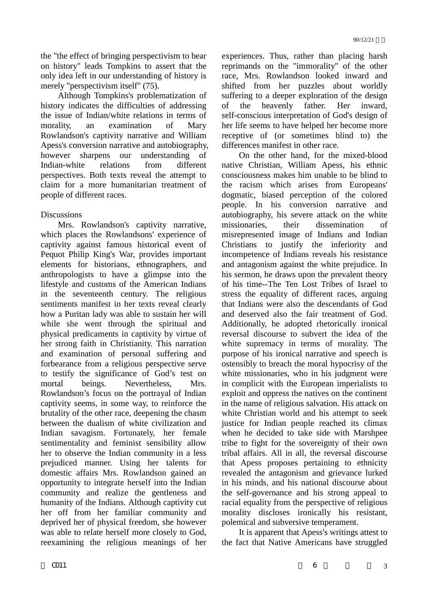the "the effect of bringing perspectivism to bear on history" leads Tompkins to assert that the only idea left in our understanding of history is merely "perspectivism itself" (75).

Although Tompkins's problematization of history indicates the difficulties of addressing the issue of Indian/white relations in terms of morality, an examination of Mary Rowlandson's captivity narrative and William Apess's conversion narrative and autobiography, however sharpens our understanding of Indian-white relations from different perspectives. Both texts reveal the attempt to claim for a more humanitarian treatment of people of different races.

# **Discussions**

Mrs. Rowlandson's captivity narrative, which places the Rowlandsons' experience of captivity against famous historical event of Pequot Philip King's War, provides important elements for historians, ethnographers, and anthropologists to have a glimpse into the lifestyle and customs of the American Indians in the seventeenth century. The religious sentiments manifest in her texts reveal clearly how a Puritan lady was able to sustain her will while she went through the spiritual and physical predicaments in captivity by virtue of her strong faith in Christianity. This narration and examination of personal suffering and forbearance from a religious perspective serve to testify the significance of God's test on mortal beings. Nevertheless, Mrs. Rowlandson's focus on the portrayal of Indian captivity seems, in some way, to reinforce the brutality of the other race, deepening the chasm between the dualism of white civilization and Indian savagism. Fortunately, her female sentimentality and feminist sensibility allow her to observe the Indian community in a less prejudiced manner. Using her talents for domestic affairs Mrs. Rowlandson gained an opportunity to integrate herself into the Indian community and realize the gentleness and humanity of the Indians. Although captivity cut her off from her familiar community and deprived her of physical freedom, she however was able to relate herself more closely to God, reexamining the religious meanings of her experiences. Thus, rather than placing harsh reprimands on the "immorality" of the other race, Mrs. Rowlandson looked inward and shifted from her puzzles about worldly suffering to a deeper exploration of the design of the heavenly father. Her inward, self-conscious interpretation of God's design of her life seems to have helped her become more receptive of (or sometimes blind to) the differences manifest in other race.

On the other hand, for the mixed-blood native Christian, William Apess, his ethnic consciousness makes him unable to be blind to the racism which arises from Europeans' dogmatic, biased perception of the colored people. In his conversion narrative and autobiography, his severe attack on the white missionaries, their dissemination of misrepresented image of Indians and Indian Christians to justify the inferiority and incompetence of Indians reveals his resistance and antagonism against the white prejudice. In his sermon, he draws upon the prevalent theory of his time--The Ten Lost Tribes of Israel to stress the equality of different races, arguing that Indians were also the descendants of God and deserved also the fair treatment of God. Additionally, he adopted rhetorically ironical reversal discourse to subvert the idea of the white supremacy in terms of morality. The purpose of his ironical narrative and speech is ostensibly to breach the moral hypocrisy of the white missionaries, who in his judgment were in complicit with the European imperialists to exploit and oppress the natives on the continent in the name of religious salvation. His attack on white Christian world and his attempt to seek justice for Indian people reached its climax when he decided to take side with Marshpee tribe to fight for the sovereignty of their own tribal affairs. All in all, the reversal discourse that Apess proposes pertaining to ethnicity revealed the antagonism and grievance lurked in his minds, and his national discourse about the self-governance and his strong appeal to racial equality from the perspective of religious morality discloses ironically his resistant, polemical and subversive temperament.

It is apparent that Apess's writings attest to the fact that Native Americans have struggled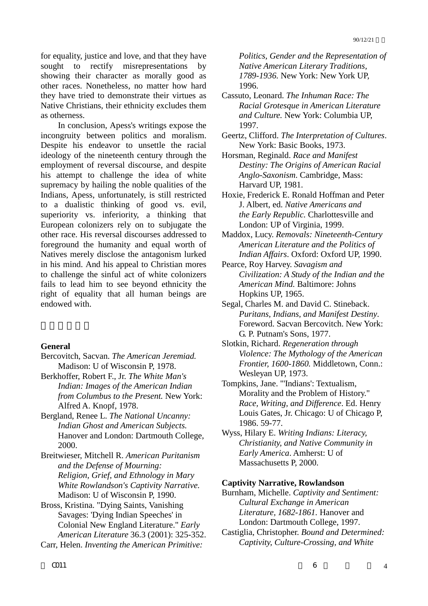for equality, justice and love, and that they have sought to rectify misrepresentations by showing their character as morally good as other races. Nonetheless, no matter how hard they have tried to demonstrate their virtues as Native Christians, their ethnicity excludes them as otherness.

In conclusion, Apess's writings expose the incongruity between politics and moralism. Despite his endeavor to unsettle the racial ideology of the nineteenth century through the employment of reversal discourse, and despite his attempt to challenge the idea of white supremacy by hailing the noble qualities of the Indians, Apess, unfortunately, is still restricted to a dualistic thinking of good vs. evil, superiority vs. inferiority, a thinking that European colonizers rely on to subjugate the other race. His reversal discourses addressed to foreground the humanity and equal worth of Natives merely disclose the antagonism lurked in his mind. And his appeal to Christian mores to challenge the sinful act of white colonizers fails to lead him to see beyond ethnicity the right of equality that all human beings are endowed with.

### **General**

- Bercovitch, Sacvan. *The American Jeremiad.*  Madison: U of Wisconsin P, 1978.
- Berkhoffer, Robert F., Jr. *The White Man's Indian: Images of the American Indian from Columbus to the Present.* New York: Alfred A. Knopf, 1978.
- Bergland, Renee L. *The National Uncanny: Indian Ghost and American Subjects.* Hanover and London: Dartmouth College, 2000.
- Breitwieser, Mitchell R. *American Puritanism and the Defense of Mourning: Religion, Grief, and Ethnology in Mary White Rowlandson's Captivity Narrative.* Madison: U of Wisconsin P, 1990.
- Bross, Kristina. "Dying Saints, Vanishing Savages: 'Dying Indian Speeches' in Colonial New England Literature." *Early American Literature* 36.3 (2001): 325-352.
- Carr, Helen. *Inventing the American Primitive:*

*Politics, Gender and the Representation of Native American Literary Traditions, 1789-1936.* New York: New York UP, 1996.

- Cassuto, Leonard. *The Inhuman Race: The Racial Grotesque in American Literature and Culture.* New York: Columbia UP, 1997.
- Geertz, Clifford. *The Interpretation of Cultures*. New York: Basic Books, 1973.

Horsman, Reginald. *Race and Manifest Destiny: The Origins of American Racial Anglo-Saxonism*. Cambridge, Mass: Harvard UP, 1981.

- Hoxie, Frederick E. Ronald Hoffman and Peter J. Albert, ed. *Native Americans and the Early Republic.* Charlottesville and London: UP of Virginia, 1999.
- Maddox, Lucy. *Removals: Nineteenth-Century American Literature and the Politics of Indian Affairs*. Oxford: Oxford UP, 1990.
- Pearce, Roy Harvey. *Savagism and Civilization: A Study of the Indian and the American Mind.* Baltimore: Johns Hopkins UP, 1965.
- Segal, Charles M. and David C. Stineback. *Puritans, Indians, and Manifest Destiny*. Foreword. Sacvan Bercovitch. New York: G. P. Putnam's Sons, 1977.
- Slotkin, Richard. *Regeneration through Violence: The Mythology of the American Frontier, 1600-1860.* Middletown, Conn.: Wesleyan UP, 1973.
- Tompkins, Jane. "'Indians': Textualism, Morality and the Problem of History." *Race, Writing, and Difference*. Ed. Henry Louis Gates, Jr. Chicago: U of Chicago P, 1986. 59-77.
- Wyss, Hilary E. *Writing Indians: Literacy, Christianity, and Native Community in Early America*. Amherst: U of Massachusetts P, 2000.

### **Captivity Narrative, Rowlandson**

- Burnham, Michelle. *Captivity and Sentiment: Cultural Exchange in American Literature, 1682-1861.* Hanover and London: Dartmouth College, 1997.
- Castiglia, Christopher. *Bound and Determined: Captivity, Culture-Crossing, and White*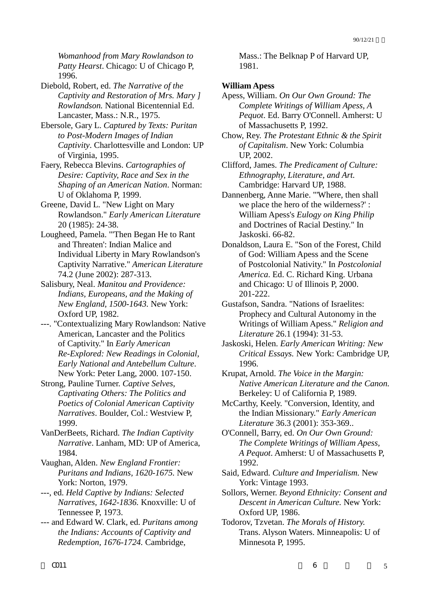*Womanhood from Mary Rowlandson to Patty Hearst*. Chicago: U of Chicago P, 1996.

Diebold, Robert, ed. *The Narrative of the Captivity and Restoration of Mrs. Mary ] Rowlandson.* National Bicentennial Ed. Lancaster, Mass.: N.R., 1975.

Ebersole, Gary L. *Captured by Texts: Puritan to Post-Modern Images of Indian Captivity*. Charlottesville and London: UP of Virginia, 1995.

Faery, Rebecca Blevins. *Cartographies of Desire: Captivity, Race and Sex in the Shaping of an American Nation*. Norman: U of Oklahoma P, 1999.

Greene, David L. "New Light on Mary Rowlandson." *Early American Literature* 20 (1985): 24-38.

Lougheed, Pamela. "'Then Began He to Rant and Threaten': Indian Malice and Individual Liberty in Mary Rowlandson's Captivity Narrative." *American Literature* 74.2 (June 2002): 287-313.

Salisbury, Neal. *Manitou and Providence: Indians, Europeans, and the Making of New England, 1500-1643.* New York: Oxford UP, 1982.

---. "Contextualizing Mary Rowlandson: Native American, Lancaster and the Politics of Captivity." In *Early American Re-Explored: New Readings in Colonial, Early National and Antebellum Culture*. New York: Peter Lang, 2000. 107-150.

Strong, Pauline Turner. *Captive Selves, Captivating Others: The Politics and Poetics of Colonial American Captivity Narratives*. Boulder, Col.: Westview P, 1999.

VanDerBeets, Richard. *The Indian Captivity Narrative*. Lanham, MD: UP of America, 1984.

Vaughan, Alden. *New England Frontier: Puritans and Indians, 1620-1675.* New York: Norton, 1979.

---, ed. *Held Captive by Indians: Selected Narratives, 1642-1836.* Knoxville: U of Tennessee P, 1973.

--- and Edward W. Clark, ed. *Puritans among the Indians: Accounts of Captivity and Redemption, 1676-1724.* Cambridge,

Mass.: The Belknap P of Harvard UP, 1981.

# **William Apess**

Apess, William. *On Our Own Ground: The Complete Writings of William Apess, A Pequot*. Ed. Barry O'Connell. Amherst: U of Massachusetts P, 1992.

Chow, Rey. *The Protestant Ethnic & the Spirit of Capitalism*. New York: Columbia UP, 2002.

Clifford, James. *The Predicament of Culture: Ethnography, Literature, and Art.*  Cambridge: Harvard UP, 1988.

Dannenberg, Anne Marie. "'Where, then shall we place the hero of the wilderness?' : William Apess's *Eulogy on King Philip*  and Doctrines of Racial Destiny." In Jaskoski. 66-82.

Donaldson, Laura E. "Son of the Forest, Child of God: William Apess and the Scene of Postcolonial Nativity." In *Postcolonial America*. Ed. C. Richard King. Urbana and Chicago: U of Illinois P, 2000. 201-222.

Gustafson, Sandra. "Nations of Israelites: Prophecy and Cultural Autonomy in the Writings of William Apess." *Religion and Literature* 26.1 (1994): 31-53.

Jaskoski, Helen. *Early American Writing: New Critical Essays.* New York: Cambridge UP, 1996.

Krupat, Arnold. *The Voice in the Margin: Native American Literature and the Canon.* Berkeley: U of California P, 1989.

McCarthy, Keely. "Conversion, Identity, and the Indian Missionary." *Early American Literature* 36.3 (2001): 353-369..

O'Connell, Barry, ed. *On Our Own Ground: The Complete Writings of William Apess, A Pequot*. Amherst: U of Massachusetts P, 1992.

Said, Edward. *Culture and Imperialism.* New York: Vintage 1993.

Sollors, Werner. *Beyond Ethnicity: Consent and Descent in American Culture.* New York: Oxford UP, 1986.

Todorov, Tzvetan. *The Morals of History.*  Trans. Alyson Waters. Minneapolis: U of Minnesota P, 1995.